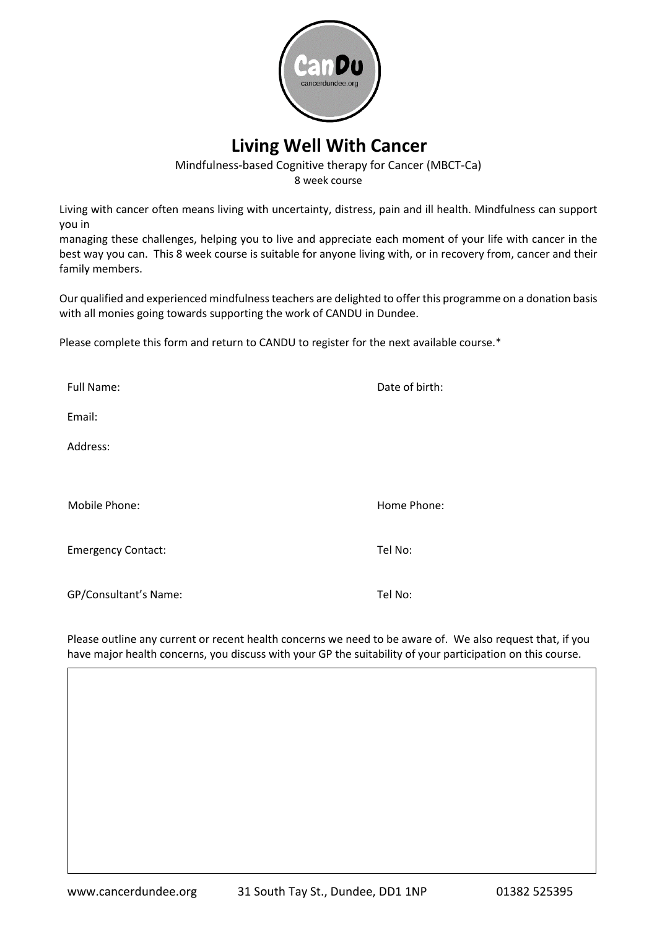

## **Living Well With Cancer**

Mindfulness-based Cognitive therapy for Cancer (MBCT-Ca) 8 week course

Living with cancer often means living with uncertainty, distress, pain and ill health. Mindfulness can support you in

managing these challenges, helping you to live and appreciate each moment of your life with cancer in the best way you can. This 8 week course is suitable for anyone living with, or in recovery from, cancer and their family members.

Our qualified and experienced mindfulness teachers are delighted to offer this programme on a donation basis with all monies going towards supporting the work of CANDU in Dundee.

Please complete this form and return to CANDU to register for the next available course.\*

| <b>Full Name:</b>         | Date of birth: |
|---------------------------|----------------|
| Email:                    |                |
| Address:                  |                |
|                           |                |
| Mobile Phone:             | Home Phone:    |
| <b>Emergency Contact:</b> | Tel No:        |
| GP/Consultant's Name:     | Tel No:        |

Please outline any current or recent health concerns we need to be aware of. We also request that, if you have major health concerns, you discuss with your GP the suitability of your participation on this course.